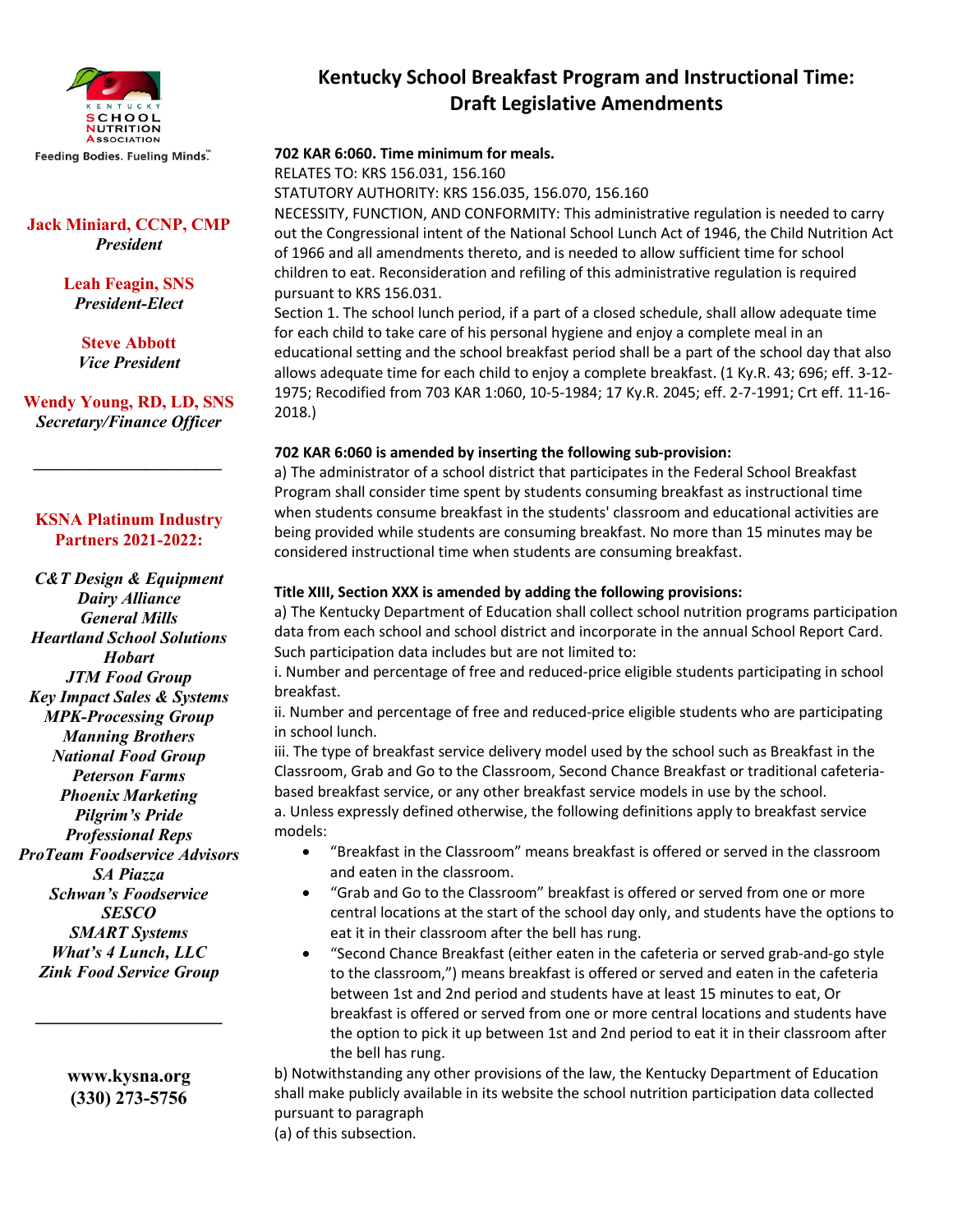

Feeding Bodies. Fueling Minds."

### **Jack Miniard, CCNP, CMP** *President*

**Leah Feagin, SNS** *President-Elect*

> **Steve Abbott** *Vice President*

**Wendy Young, RD, LD, SNS** *Secretary/Finance Officer*

*\_\_\_\_\_\_\_\_\_\_\_\_\_\_\_\_\_\_\_\_\_\_*

#### **KSNA Platinum Industry Partners 2021-2022:**

*C&T Design & Equipment Dairy Alliance General Mills Heartland School Solutions Hobart JTM Food Group Key Impact Sales & Systems MPK-Processing Group Manning Brothers National Food Group Peterson Farms Phoenix Marketing Pilgrim's Pride Professional Reps ProTeam Foodservice Advisors SA Piazza Schwan's Foodservice SESCO SMART Systems What's 4 Lunch, LLC Zink Food Service Group*

> **www.kysna.org (330) 273-5756**

**\_\_\_\_\_\_\_\_\_\_\_\_\_\_\_\_\_\_\_\_**

## **Kentucky School Breakfast Program and Instructional Time: Draft Legislative Amendments**

## **702 KAR 6:060. Time minimum for meals.**

RELATES TO: KRS 156.031, 156.160

STATUTORY AUTHORITY: KRS 156.035, 156.070, 156.160

NECESSITY, FUNCTION, AND CONFORMITY: This administrative regulation is needed to carry out the Congressional intent of the National School Lunch Act of 1946, the Child Nutrition Act of 1966 and all amendments thereto, and is needed to allow sufficient time for school children to eat. Reconsideration and refiling of this administrative regulation is required pursuant to KRS 156.031.

Section 1. The school lunch period, if a part of a closed schedule, shall allow adequate time for each child to take care of his personal hygiene and enjoy a complete meal in an educational setting and the school breakfast period shall be a part of the school day that also allows adequate time for each child to enjoy a complete breakfast. (1 Ky.R. 43; 696; eff. 3-12- 1975; Recodified from 703 KAR 1:060, 10-5-1984; 17 Ky.R. 2045; eff. 2-7-1991; Crt eff. 11-16- 2018.)

#### **702 KAR 6:060 is amended by inserting the following sub-provision:**

a) The administrator of a school district that participates in the Federal School Breakfast Program shall consider time spent by students consuming breakfast as instructional time when students consume breakfast in the students' classroom and educational activities are being provided while students are consuming breakfast. No more than 15 minutes may be considered instructional time when students are consuming breakfast.

#### **Title XIII, Section XXX is amended by adding the following provisions:**

a) The Kentucky Department of Education shall collect school nutrition programs participation data from each school and school district and incorporate in the annual School Report Card. Such participation data includes but are not limited to:

i. Number and percentage of free and reduced-price eligible students participating in school breakfast.

ii. Number and percentage of free and reduced-price eligible students who are participating in school lunch.

iii. The type of breakfast service delivery model used by the school such as Breakfast in the Classroom, Grab and Go to the Classroom, Second Chance Breakfast or traditional cafeteriabased breakfast service, or any other breakfast service models in use by the school. a. Unless expressly defined otherwise, the following definitions apply to breakfast service models:

- "Breakfast in the Classroom" means breakfast is offered or served in the classroom and eaten in the classroom.
- "Grab and Go to the Classroom" breakfast is offered or served from one or more central locations at the start of the school day only, and students have the options to eat it in their classroom after the bell has rung.
- "Second Chance Breakfast (either eaten in the cafeteria or served grab-and-go style to the classroom,") means breakfast is offered or served and eaten in the cafeteria between 1st and 2nd period and students have at least 15 minutes to eat, Or breakfast is offered or served from one or more central locations and students have the option to pick it up between 1st and 2nd period to eat it in their classroom after the bell has rung.

b) Notwithstanding any other provisions of the law, the Kentucky Department of Education shall make publicly available in its website the school nutrition participation data collected pursuant to paragraph

(a) of this subsection.